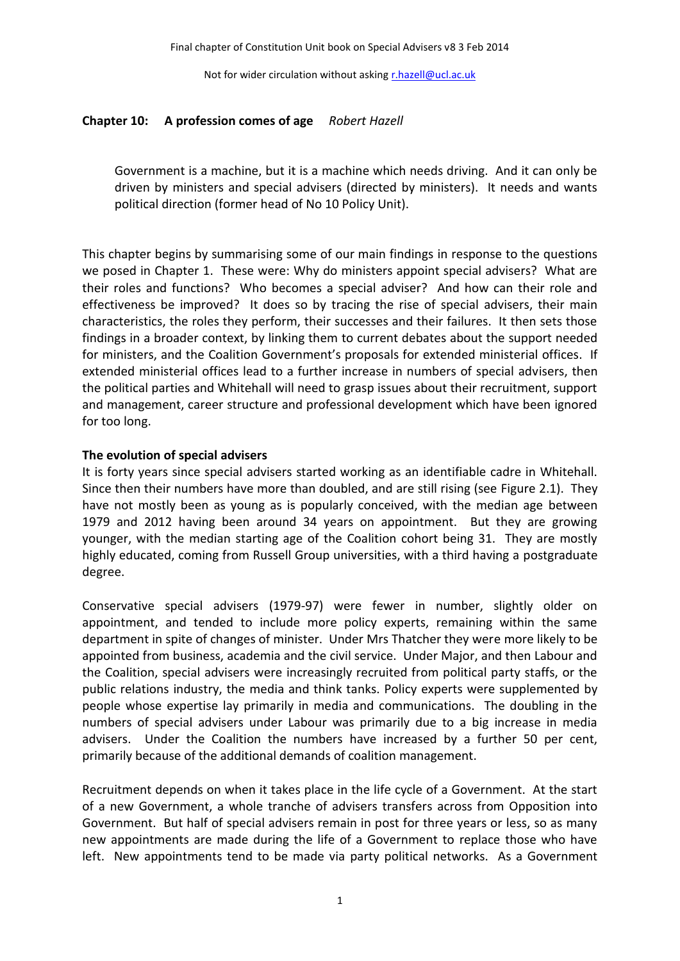### **Chapter 10: A profession comes of age** *Robert Hazell*

Government is a machine, but it is a machine which needs driving. And it can only be driven by ministers and special advisers (directed by ministers). It needs and wants political direction (former head of No 10 Policy Unit).

This chapter begins by summarising some of our main findings in response to the questions we posed in Chapter 1. These were: Why do ministers appoint special advisers? What are their roles and functions? Who becomes a special adviser? And how can their role and effectiveness be improved? It does so by tracing the rise of special advisers, their main characteristics, the roles they perform, their successes and their failures. It then sets those findings in a broader context, by linking them to current debates about the support needed for ministers, and the Coalition Government's proposals for extended ministerial offices. If extended ministerial offices lead to a further increase in numbers of special advisers, then the political parties and Whitehall will need to grasp issues about their recruitment, support and management, career structure and professional development which have been ignored for too long.

### **The evolution of special advisers**

It is forty years since special advisers started working as an identifiable cadre in Whitehall. Since then their numbers have more than doubled, and are still rising (see Figure 2.1). They have not mostly been as young as is popularly conceived, with the median age between 1979 and 2012 having been around 34 years on appointment. But they are growing younger, with the median starting age of the Coalition cohort being 31. They are mostly highly educated, coming from Russell Group universities, with a third having a postgraduate degree.

Conservative special advisers (1979-97) were fewer in number, slightly older on appointment, and tended to include more policy experts, remaining within the same department in spite of changes of minister. Under Mrs Thatcher they were more likely to be appointed from business, academia and the civil service. Under Major, and then Labour and the Coalition, special advisers were increasingly recruited from political party staffs, or the public relations industry, the media and think tanks. Policy experts were supplemented by people whose expertise lay primarily in media and communications. The doubling in the numbers of special advisers under Labour was primarily due to a big increase in media advisers. Under the Coalition the numbers have increased by a further 50 per cent, primarily because of the additional demands of coalition management.

Recruitment depends on when it takes place in the life cycle of a Government. At the start of a new Government, a whole tranche of advisers transfers across from Opposition into Government. But half of special advisers remain in post for three years or less, so as many new appointments are made during the life of a Government to replace those who have left. New appointments tend to be made via party political networks. As a Government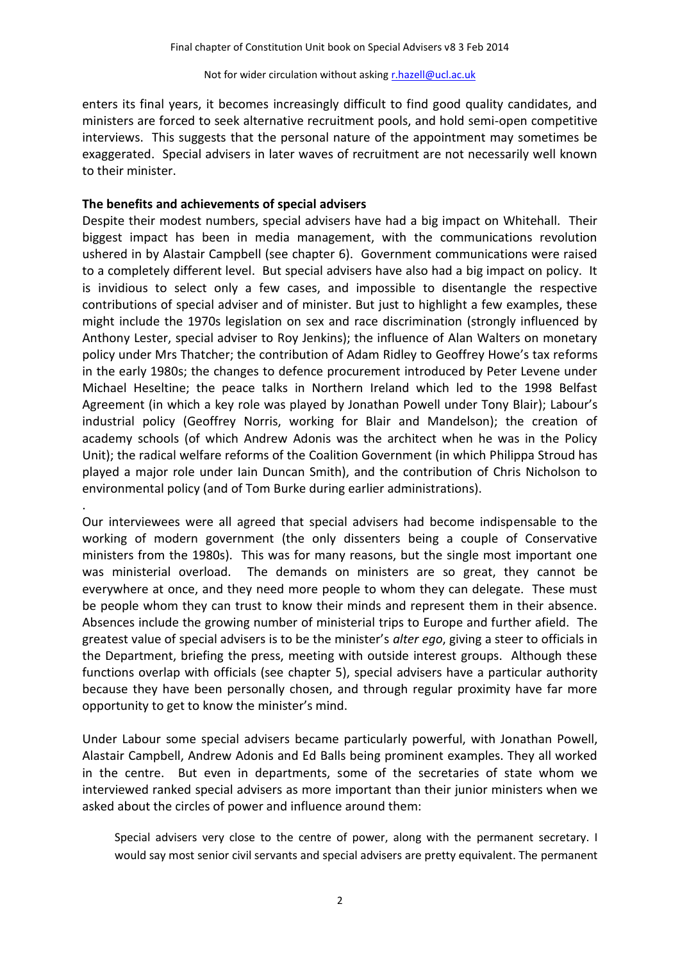enters its final years, it becomes increasingly difficult to find good quality candidates, and ministers are forced to seek alternative recruitment pools, and hold semi-open competitive interviews. This suggests that the personal nature of the appointment may sometimes be exaggerated. Special advisers in later waves of recruitment are not necessarily well known to their minister.

### **The benefits and achievements of special advisers**

.

Despite their modest numbers, special advisers have had a big impact on Whitehall. Their biggest impact has been in media management, with the communications revolution ushered in by Alastair Campbell (see chapter 6). Government communications were raised to a completely different level. But special advisers have also had a big impact on policy. It is invidious to select only a few cases, and impossible to disentangle the respective contributions of special adviser and of minister. But just to highlight a few examples, these might include the 1970s legislation on sex and race discrimination (strongly influenced by Anthony Lester, special adviser to Roy Jenkins); the influence of Alan Walters on monetary policy under Mrs Thatcher; the contribution of Adam Ridley to Geoffrey Howe's tax reforms in the early 1980s; the changes to defence procurement introduced by Peter Levene under Michael Heseltine; the peace talks in Northern Ireland which led to the 1998 Belfast Agreement (in which a key role was played by Jonathan Powell under Tony Blair); Labour's industrial policy (Geoffrey Norris, working for Blair and Mandelson); the creation of academy schools (of which Andrew Adonis was the architect when he was in the Policy Unit); the radical welfare reforms of the Coalition Government (in which Philippa Stroud has played a major role under Iain Duncan Smith), and the contribution of Chris Nicholson to environmental policy (and of Tom Burke during earlier administrations).

Our interviewees were all agreed that special advisers had become indispensable to the working of modern government (the only dissenters being a couple of Conservative ministers from the 1980s). This was for many reasons, but the single most important one was ministerial overload. The demands on ministers are so great, they cannot be everywhere at once, and they need more people to whom they can delegate. These must be people whom they can trust to know their minds and represent them in their absence. Absences include the growing number of ministerial trips to Europe and further afield. The greatest value of special advisers is to be the minister's *alter ego*, giving a steer to officials in the Department, briefing the press, meeting with outside interest groups. Although these functions overlap with officials (see chapter 5), special advisers have a particular authority because they have been personally chosen, and through regular proximity have far more opportunity to get to know the minister's mind.

Under Labour some special advisers became particularly powerful, with Jonathan Powell, Alastair Campbell, Andrew Adonis and Ed Balls being prominent examples. They all worked in the centre. But even in departments, some of the secretaries of state whom we interviewed ranked special advisers as more important than their junior ministers when we asked about the circles of power and influence around them:

Special advisers very close to the centre of power, along with the permanent secretary. I would say most senior civil servants and special advisers are pretty equivalent. The permanent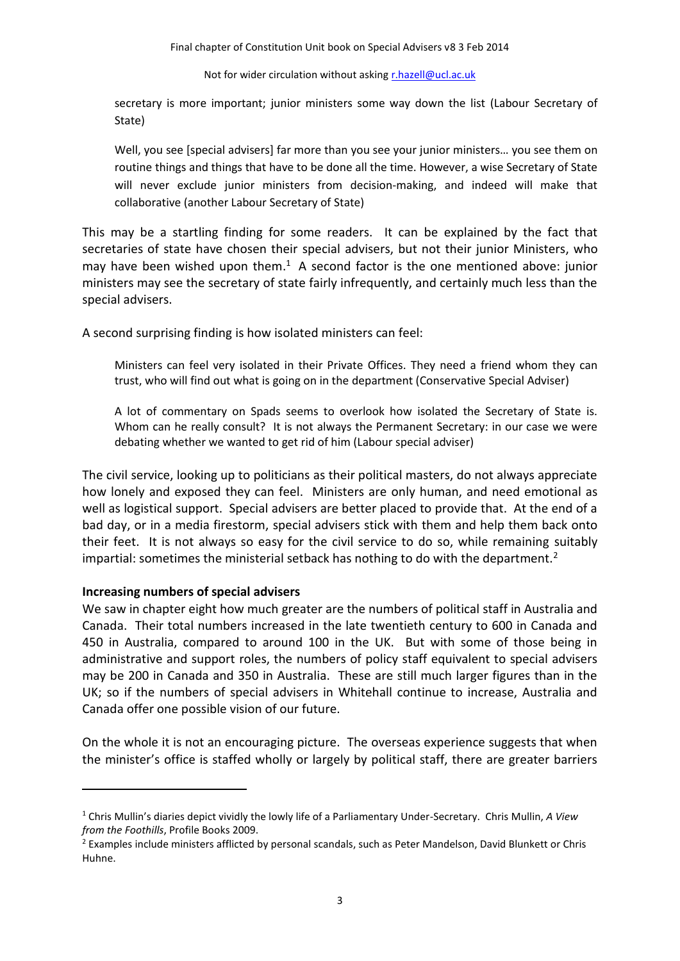Final chapter of Constitution Unit book on Special Advisers v8 3 Feb 2014

Not for wider circulation without askin[g r.hazell@ucl.ac.uk](mailto:r.hazell@ucl.ac.uk)

secretary is more important; junior ministers some way down the list (Labour Secretary of State)

Well, you see [special advisers] far more than you see your junior ministers… you see them on routine things and things that have to be done all the time. However, a wise Secretary of State will never exclude junior ministers from decision-making, and indeed will make that collaborative (another Labour Secretary of State)

This may be a startling finding for some readers. It can be explained by the fact that secretaries of state have chosen their special advisers, but not their junior Ministers, who may have been wished upon them. $<sup>1</sup>$  A second factor is the one mentioned above: junior</sup> ministers may see the secretary of state fairly infrequently, and certainly much less than the special advisers.

A second surprising finding is how isolated ministers can feel:

Ministers can feel very isolated in their Private Offices. They need a friend whom they can trust, who will find out what is going on in the department (Conservative Special Adviser)

A lot of commentary on Spads seems to overlook how isolated the Secretary of State is. Whom can he really consult? It is not always the Permanent Secretary: in our case we were debating whether we wanted to get rid of him (Labour special adviser)

The civil service, looking up to politicians as their political masters, do not always appreciate how lonely and exposed they can feel. Ministers are only human, and need emotional as well as logistical support. Special advisers are better placed to provide that. At the end of a bad day, or in a media firestorm, special advisers stick with them and help them back onto their feet. It is not always so easy for the civil service to do so, while remaining suitably impartial: sometimes the ministerial setback has nothing to do with the department.<sup>2</sup>

### **Increasing numbers of special advisers**

We saw in chapter eight how much greater are the numbers of political staff in Australia and Canada. Their total numbers increased in the late twentieth century to 600 in Canada and 450 in Australia, compared to around 100 in the UK. But with some of those being in administrative and support roles, the numbers of policy staff equivalent to special advisers may be 200 in Canada and 350 in Australia. These are still much larger figures than in the UK; so if the numbers of special advisers in Whitehall continue to increase, Australia and Canada offer one possible vision of our future.

On the whole it is not an encouraging picture. The overseas experience suggests that when the minister's office is staffed wholly or largely by political staff, there are greater barriers

<sup>1</sup> Chris Mullin's diaries depict vividly the lowly life of a Parliamentary Under-Secretary. Chris Mullin, *A View from the Foothills*, Profile Books 2009.

<sup>&</sup>lt;sup>2</sup> Examples include ministers afflicted by personal scandals, such as Peter Mandelson, David Blunkett or Chris Huhne.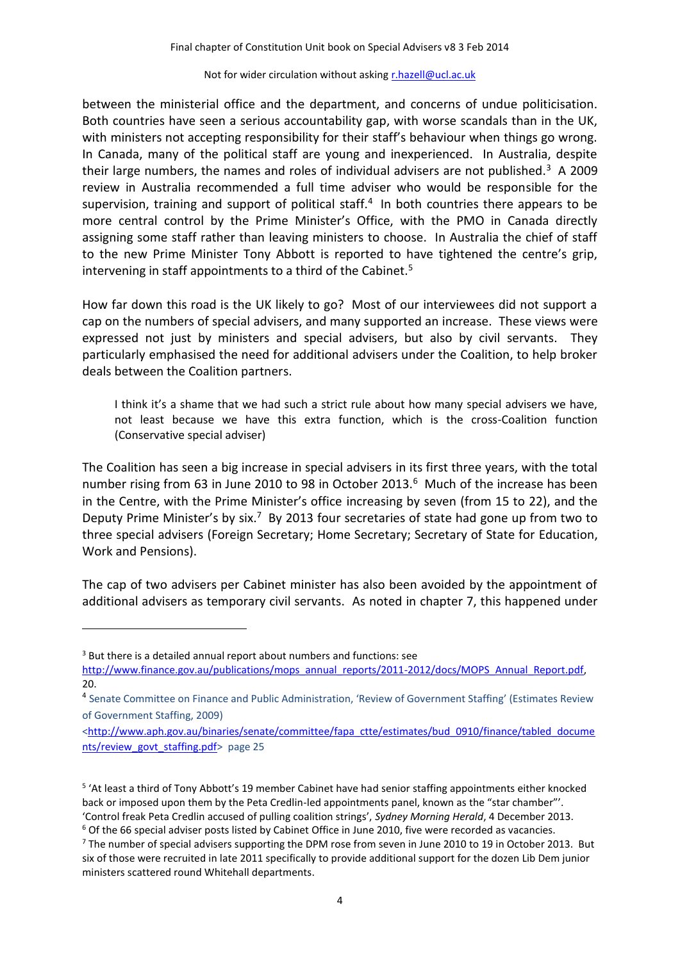between the ministerial office and the department, and concerns of undue politicisation. Both countries have seen a serious accountability gap, with worse scandals than in the UK, with ministers not accepting responsibility for their staff's behaviour when things go wrong. In Canada, many of the political staff are young and inexperienced. In Australia, despite their large numbers, the names and roles of individual advisers are not published. $3$  A 2009 review in Australia recommended a full time adviser who would be responsible for the supervision, training and support of political staff. $4$  In both countries there appears to be more central control by the Prime Minister's Office, with the PMO in Canada directly assigning some staff rather than leaving ministers to choose. In Australia the chief of staff to the new Prime Minister Tony Abbott is reported to have tightened the centre's grip, intervening in staff appointments to a third of the Cabinet.<sup>5</sup>

How far down this road is the UK likely to go? Most of our interviewees did not support a cap on the numbers of special advisers, and many supported an increase. These views were expressed not just by ministers and special advisers, but also by civil servants. They particularly emphasised the need for additional advisers under the Coalition, to help broker deals between the Coalition partners.

I think it's a shame that we had such a strict rule about how many special advisers we have, not least because we have this extra function, which is the cross-Coalition function (Conservative special adviser)

The Coalition has seen a big increase in special advisers in its first three years, with the total number rising from 63 in June 2010 to 98 in October 2013.<sup>6</sup> Much of the increase has been in the Centre, with the Prime Minister's office increasing by seven (from 15 to 22), and the Deputy Prime Minister's by six.<sup>7</sup> By 2013 four secretaries of state had gone up from two to three special advisers (Foreign Secretary; Home Secretary; Secretary of State for Education, Work and Pensions).

The cap of two advisers per Cabinet minister has also been avoided by the appointment of additional advisers as temporary civil servants. As noted in chapter 7, this happened under

<sup>&</sup>lt;sup>3</sup> But there is a detailed annual report about numbers and functions: see

[http://www.finance.gov.au/publications/mops\\_annual\\_reports/2011-2012/docs/MOPS\\_Annual\\_Report.pdf,](http://www.finance.gov.au/publications/mops_annual_reports/2011-2012/docs/MOPS_Annual_Report.pdf) 20.

<sup>&</sup>lt;sup>4</sup> Senate Committee on Finance and Public Administration, 'Review of Government Staffing' (Estimates Review of Government Staffing, 2009)

[<sup>&</sup>lt;http://www.aph.gov.au/binaries/senate/committee/fapa\\_ctte/estimates/bud\\_0910/finance/tabled\\_docume](http://www.aph.gov.au/binaries/senate/committee/fapa_ctte/estimates/bud_0910/finance/tabled_documents/review_govt_staffing.pdf) [nts/review\\_govt\\_staffing.pdf>](http://www.aph.gov.au/binaries/senate/committee/fapa_ctte/estimates/bud_0910/finance/tabled_documents/review_govt_staffing.pdf)\_page 25

<sup>&</sup>lt;sup>5</sup> 'At least a third of Tony Abbott's 19 member Cabinet have had senior staffing appointments either knocked back or imposed upon them by the Peta Credlin-led appointments panel, known as the "star chamber"'. 'Control freak Peta Credlin accused of pulling coalition strings', *Sydney Morning Herald*, 4 December 2013. <sup>6</sup> Of the 66 special adviser posts listed by Cabinet Office in June 2010, five were recorded as vacancies.

<sup>&</sup>lt;sup>7</sup> The number of special advisers supporting the DPM rose from seven in June 2010 to 19 in October 2013. But

six of those were recruited in late 2011 specifically to provide additional support for the dozen Lib Dem junior ministers scattered round Whitehall departments.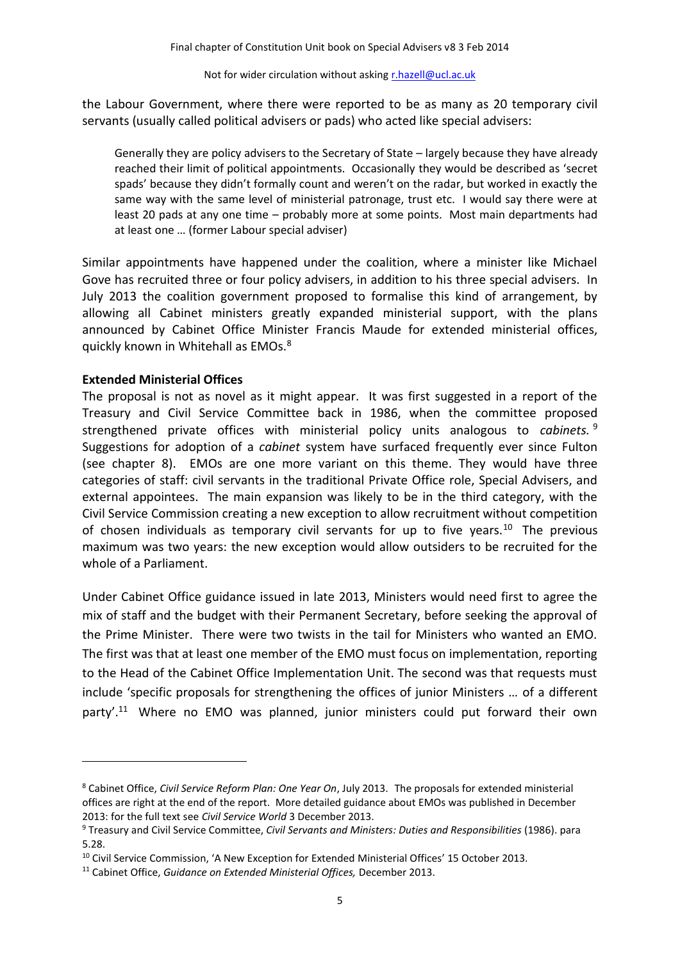the Labour Government, where there were reported to be as many as 20 temporary civil servants (usually called political advisers or pads) who acted like special advisers:

Generally they are policy advisers to the Secretary of State – largely because they have already reached their limit of political appointments. Occasionally they would be described as 'secret spads' because they didn't formally count and weren't on the radar, but worked in exactly the same way with the same level of ministerial patronage, trust etc. I would say there were at least 20 pads at any one time – probably more at some points. Most main departments had at least one … (former Labour special adviser)

Similar appointments have happened under the coalition, where a minister like Michael Gove has recruited three or four policy advisers, in addition to his three special advisers. In July 2013 the coalition government proposed to formalise this kind of arrangement, by allowing all Cabinet ministers greatly expanded ministerial support, with the plans announced by Cabinet Office Minister Francis Maude for extended ministerial offices, quickly known in Whitehall as EMOs.<sup>8</sup>

### **Extended Ministerial Offices**

The proposal is not as novel as it might appear. It was first suggested in a report of the Treasury and Civil Service Committee back in 1986, when the committee proposed strengthened private offices with ministerial policy units analogous to *cabinets.* <sup>9</sup> Suggestions for adoption of a *cabinet* system have surfaced frequently ever since Fulton (see chapter 8). EMOs are one more variant on this theme. They would have three categories of staff: civil servants in the traditional Private Office role, Special Advisers, and external appointees. The main expansion was likely to be in the third category, with the Civil Service Commission creating a new exception to allow recruitment without competition of chosen individuals as temporary civil servants for up to five years.<sup>10</sup> The previous maximum was two years: the new exception would allow outsiders to be recruited for the whole of a Parliament.

Under Cabinet Office guidance issued in late 2013, Ministers would need first to agree the mix of staff and the budget with their Permanent Secretary, before seeking the approval of the Prime Minister. There were two twists in the tail for Ministers who wanted an EMO. The first was that at least one member of the EMO must focus on implementation, reporting to the Head of the Cabinet Office Implementation Unit. The second was that requests must include 'specific proposals for strengthening the offices of junior Ministers … of a different party'.<sup>11</sup> Where no EMO was planned, junior ministers could put forward their own

<sup>8</sup> Cabinet Office, *Civil Service Reform Plan: One Year On*, July 2013. The proposals for extended ministerial offices are right at the end of the report. More detailed guidance about EMOs was published in December 2013: for the full text see *Civil Service World* 3 December 2013.

<sup>9</sup> Treasury and Civil Service Committee, *Civil Servants and Ministers: Duties and Responsibilities* (1986). para 5.28.

<sup>&</sup>lt;sup>10</sup> Civil Service Commission, 'A New Exception for Extended Ministerial Offices' 15 October 2013.

<sup>11</sup> Cabinet Office, *Guidance on Extended Ministerial Offices,* December 2013.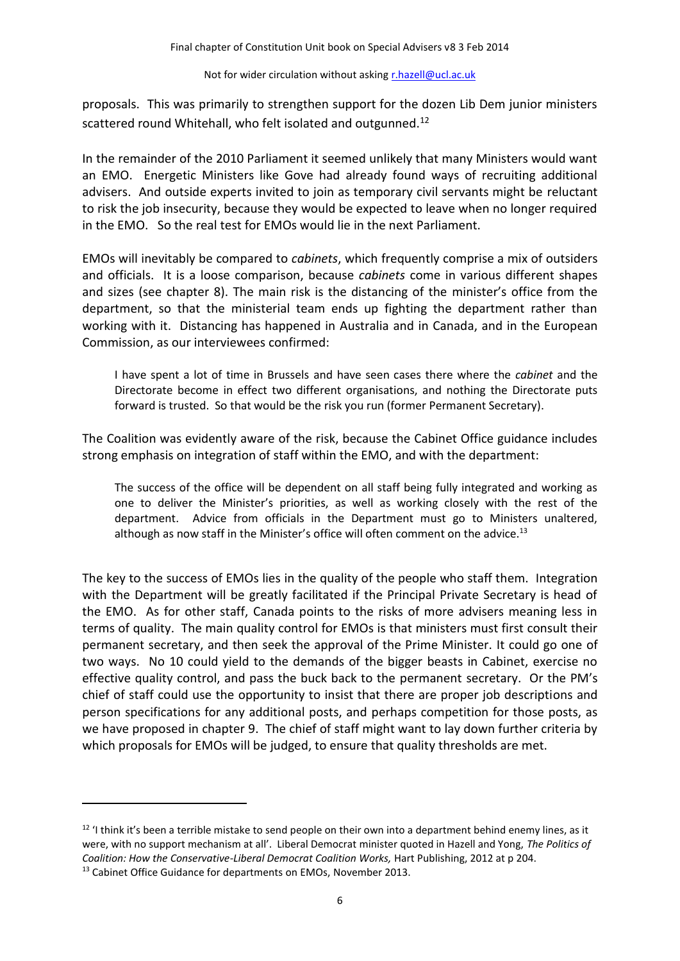proposals. This was primarily to strengthen support for the dozen Lib Dem junior ministers scattered round Whitehall, who felt isolated and outgunned.<sup>12</sup>

In the remainder of the 2010 Parliament it seemed unlikely that many Ministers would want an EMO. Energetic Ministers like Gove had already found ways of recruiting additional advisers. And outside experts invited to join as temporary civil servants might be reluctant to risk the job insecurity, because they would be expected to leave when no longer required in the EMO. So the real test for EMOs would lie in the next Parliament.

EMOs will inevitably be compared to *cabinets*, which frequently comprise a mix of outsiders and officials. It is a loose comparison, because *cabinets* come in various different shapes and sizes (see chapter 8). The main risk is the distancing of the minister's office from the department, so that the ministerial team ends up fighting the department rather than working with it. Distancing has happened in Australia and in Canada, and in the European Commission, as our interviewees confirmed:

I have spent a lot of time in Brussels and have seen cases there where the *cabinet* and the Directorate become in effect two different organisations, and nothing the Directorate puts forward is trusted. So that would be the risk you run (former Permanent Secretary).

The Coalition was evidently aware of the risk, because the Cabinet Office guidance includes strong emphasis on integration of staff within the EMO, and with the department:

The success of the office will be dependent on all staff being fully integrated and working as one to deliver the Minister's priorities, as well as working closely with the rest of the department. Advice from officials in the Department must go to Ministers unaltered, although as now staff in the Minister's office will often comment on the advice.<sup>13</sup>

The key to the success of EMOs lies in the quality of the people who staff them. Integration with the Department will be greatly facilitated if the Principal Private Secretary is head of the EMO. As for other staff, Canada points to the risks of more advisers meaning less in terms of quality. The main quality control for EMOs is that ministers must first consult their permanent secretary, and then seek the approval of the Prime Minister. It could go one of two ways. No 10 could yield to the demands of the bigger beasts in Cabinet, exercise no effective quality control, and pass the buck back to the permanent secretary. Or the PM's chief of staff could use the opportunity to insist that there are proper job descriptions and person specifications for any additional posts, and perhaps competition for those posts, as we have proposed in chapter 9. The chief of staff might want to lay down further criteria by which proposals for EMOs will be judged, to ensure that quality thresholds are met.

 $12$  'I think it's been a terrible mistake to send people on their own into a department behind enemy lines, as it were, with no support mechanism at all'. Liberal Democrat minister quoted in Hazell and Yong, *The Politics of Coalition: How the Conservative-Liberal Democrat Coalition Works, Hart Publishing, 2012 at p 204.* 

<sup>&</sup>lt;sup>13</sup> Cabinet Office Guidance for departments on EMOs, November 2013.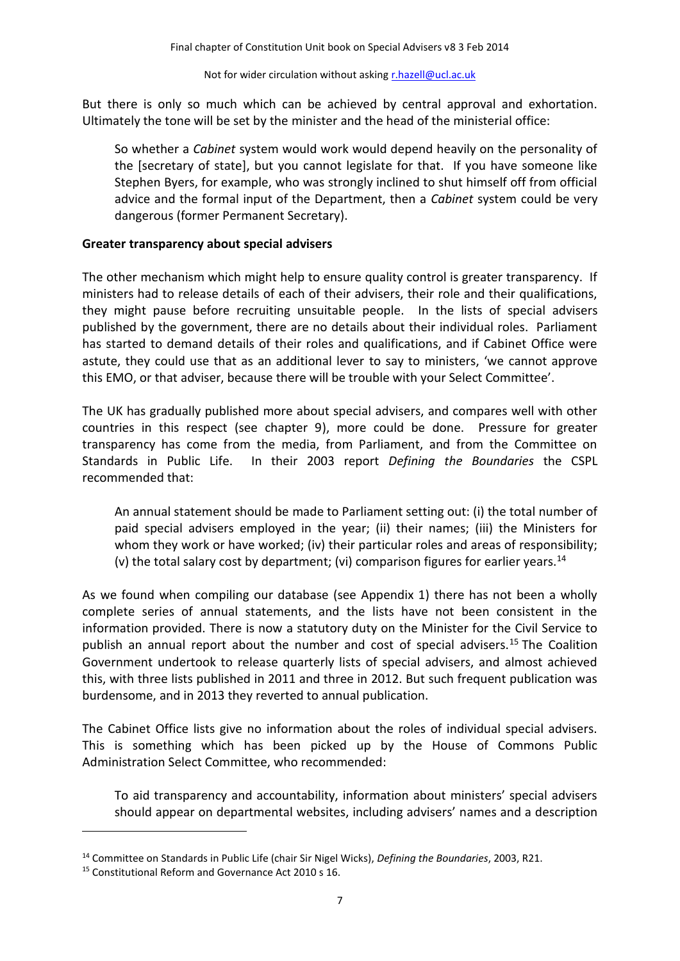But there is only so much which can be achieved by central approval and exhortation. Ultimately the tone will be set by the minister and the head of the ministerial office:

So whether a *Cabinet* system would work would depend heavily on the personality of the [secretary of state], but you cannot legislate for that. If you have someone like Stephen Byers, for example, who was strongly inclined to shut himself off from official advice and the formal input of the Department, then a *Cabinet* system could be very dangerous (former Permanent Secretary).

### **Greater transparency about special advisers**

The other mechanism which might help to ensure quality control is greater transparency. If ministers had to release details of each of their advisers, their role and their qualifications, they might pause before recruiting unsuitable people. In the lists of special advisers published by the government, there are no details about their individual roles. Parliament has started to demand details of their roles and qualifications, and if Cabinet Office were astute, they could use that as an additional lever to say to ministers, 'we cannot approve this EMO, or that adviser, because there will be trouble with your Select Committee'.

The UK has gradually published more about special advisers, and compares well with other countries in this respect (see chapter 9), more could be done. Pressure for greater transparency has come from the media, from Parliament, and from the Committee on Standards in Public Life. In their 2003 report *Defining the Boundaries* the CSPL recommended that:

An annual statement should be made to Parliament setting out: (i) the total number of paid special advisers employed in the year; (ii) their names; (iii) the Ministers for whom they work or have worked; (iv) their particular roles and areas of responsibility; (v) the total salary cost by department; (vi) comparison figures for earlier years.<sup>14</sup>

As we found when compiling our database (see Appendix 1) there has not been a wholly complete series of annual statements, and the lists have not been consistent in the information provided. There is now a statutory duty on the Minister for the Civil Service to publish an annual report about the number and cost of special advisers.<sup>15</sup> The Coalition Government undertook to release quarterly lists of special advisers, and almost achieved this, with three lists published in 2011 and three in 2012. But such frequent publication was burdensome, and in 2013 they reverted to annual publication.

The Cabinet Office lists give no information about the roles of individual special advisers. This is something which has been picked up by the House of Commons Public Administration Select Committee, who recommended:

To aid transparency and accountability, information about ministers' special advisers should appear on departmental websites, including advisers' names and a description

<sup>14</sup> Committee on Standards in Public Life (chair Sir Nigel Wicks), *Defining the Boundaries*, 2003, R21.

<sup>15</sup> Constitutional Reform and Governance Act 2010 s 16.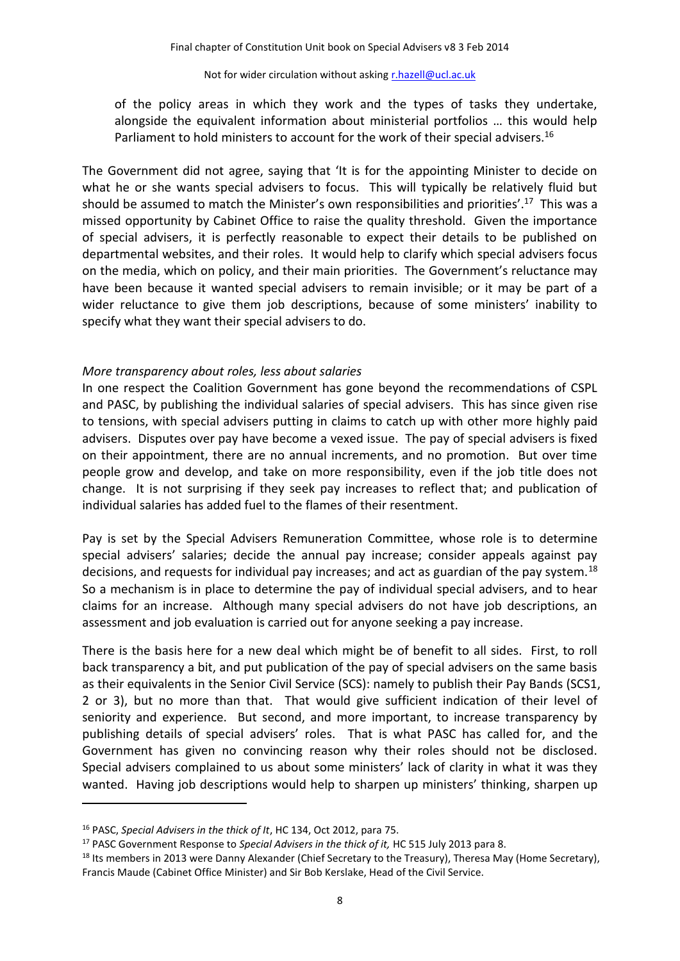of the policy areas in which they work and the types of tasks they undertake, alongside the equivalent information about ministerial portfolios … this would help Parliament to hold ministers to account for the work of their special advisers.<sup>16</sup>

The Government did not agree, saying that 'It is for the appointing Minister to decide on what he or she wants special advisers to focus. This will typically be relatively fluid but should be assumed to match the Minister's own responsibilities and priorities'.<sup>17</sup> This was a missed opportunity by Cabinet Office to raise the quality threshold. Given the importance of special advisers, it is perfectly reasonable to expect their details to be published on departmental websites, and their roles. It would help to clarify which special advisers focus on the media, which on policy, and their main priorities. The Government's reluctance may have been because it wanted special advisers to remain invisible; or it may be part of a wider reluctance to give them job descriptions, because of some ministers' inability to specify what they want their special advisers to do.

### *More transparency about roles, less about salaries*

In one respect the Coalition Government has gone beyond the recommendations of CSPL and PASC, by publishing the individual salaries of special advisers. This has since given rise to tensions, with special advisers putting in claims to catch up with other more highly paid advisers. Disputes over pay have become a vexed issue. The pay of special advisers is fixed on their appointment, there are no annual increments, and no promotion. But over time people grow and develop, and take on more responsibility, even if the job title does not change. It is not surprising if they seek pay increases to reflect that; and publication of individual salaries has added fuel to the flames of their resentment.

Pay is set by the Special Advisers Remuneration Committee, whose role is to determine special advisers' salaries; decide the annual pay increase; consider appeals against pay decisions, and requests for individual pay increases; and act as guardian of the pay system.<sup>18</sup> So a mechanism is in place to determine the pay of individual special advisers, and to hear claims for an increase. Although many special advisers do not have job descriptions, an assessment and job evaluation is carried out for anyone seeking a pay increase.

There is the basis here for a new deal which might be of benefit to all sides. First, to roll back transparency a bit, and put publication of the pay of special advisers on the same basis as their equivalents in the Senior Civil Service (SCS): namely to publish their Pay Bands (SCS1, 2 or 3), but no more than that. That would give sufficient indication of their level of seniority and experience. But second, and more important, to increase transparency by publishing details of special advisers' roles. That is what PASC has called for, and the Government has given no convincing reason why their roles should not be disclosed. Special advisers complained to us about some ministers' lack of clarity in what it was they wanted. Having job descriptions would help to sharpen up ministers' thinking, sharpen up

<sup>16</sup> PASC, *Special Advisers in the thick of It*, HC 134, Oct 2012, para 75.

<sup>17</sup> PASC Government Response to *Special Advisers in the thick of it,* HC 515 July 2013 para 8.

<sup>&</sup>lt;sup>18</sup> Its members in 2013 were Danny Alexander (Chief Secretary to the Treasury), Theresa May (Home Secretary), Francis Maude (Cabinet Office Minister) and Sir Bob Kerslake, Head of the Civil Service.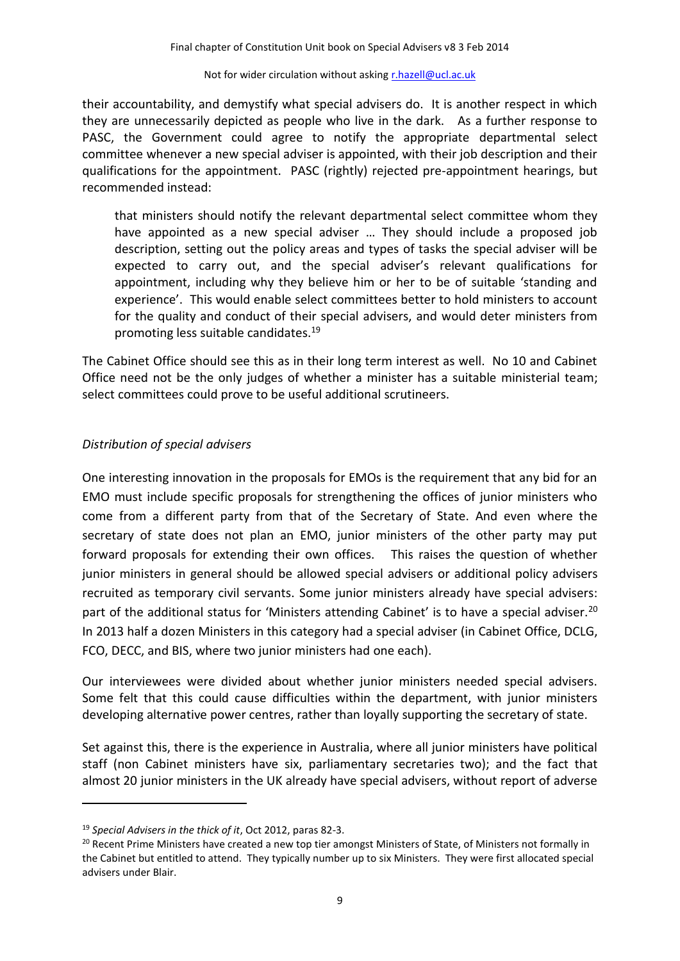their accountability, and demystify what special advisers do. It is another respect in which they are unnecessarily depicted as people who live in the dark. As a further response to PASC, the Government could agree to notify the appropriate departmental select committee whenever a new special adviser is appointed, with their job description and their qualifications for the appointment. PASC (rightly) rejected pre-appointment hearings, but recommended instead:

that ministers should notify the relevant departmental select committee whom they have appointed as a new special adviser … They should include a proposed job description, setting out the policy areas and types of tasks the special adviser will be expected to carry out, and the special adviser's relevant qualifications for appointment, including why they believe him or her to be of suitable 'standing and experience'. This would enable select committees better to hold ministers to account for the quality and conduct of their special advisers, and would deter ministers from promoting less suitable candidates.<sup>19</sup>

The Cabinet Office should see this as in their long term interest as well. No 10 and Cabinet Office need not be the only judges of whether a minister has a suitable ministerial team; select committees could prove to be useful additional scrutineers.

## *Distribution of special advisers*

One interesting innovation in the proposals for EMOs is the requirement that any bid for an EMO must include specific proposals for strengthening the offices of junior ministers who come from a different party from that of the Secretary of State. And even where the secretary of state does not plan an EMO, junior ministers of the other party may put forward proposals for extending their own offices. This raises the question of whether junior ministers in general should be allowed special advisers or additional policy advisers recruited as temporary civil servants. Some junior ministers already have special advisers: part of the additional status for 'Ministers attending Cabinet' is to have a special adviser.<sup>20</sup> In 2013 half a dozen Ministers in this category had a special adviser (in Cabinet Office, DCLG, FCO, DECC, and BIS, where two junior ministers had one each).

Our interviewees were divided about whether junior ministers needed special advisers. Some felt that this could cause difficulties within the department, with junior ministers developing alternative power centres, rather than loyally supporting the secretary of state.

Set against this, there is the experience in Australia, where all junior ministers have political staff (non Cabinet ministers have six, parliamentary secretaries two); and the fact that almost 20 junior ministers in the UK already have special advisers, without report of adverse

<sup>19</sup> *Special Advisers in the thick of it*, Oct 2012, paras 82-3.

<sup>&</sup>lt;sup>20</sup> Recent Prime Ministers have created a new top tier amongst Ministers of State, of Ministers not formally in the Cabinet but entitled to attend. They typically number up to six Ministers. They were first allocated special advisers under Blair.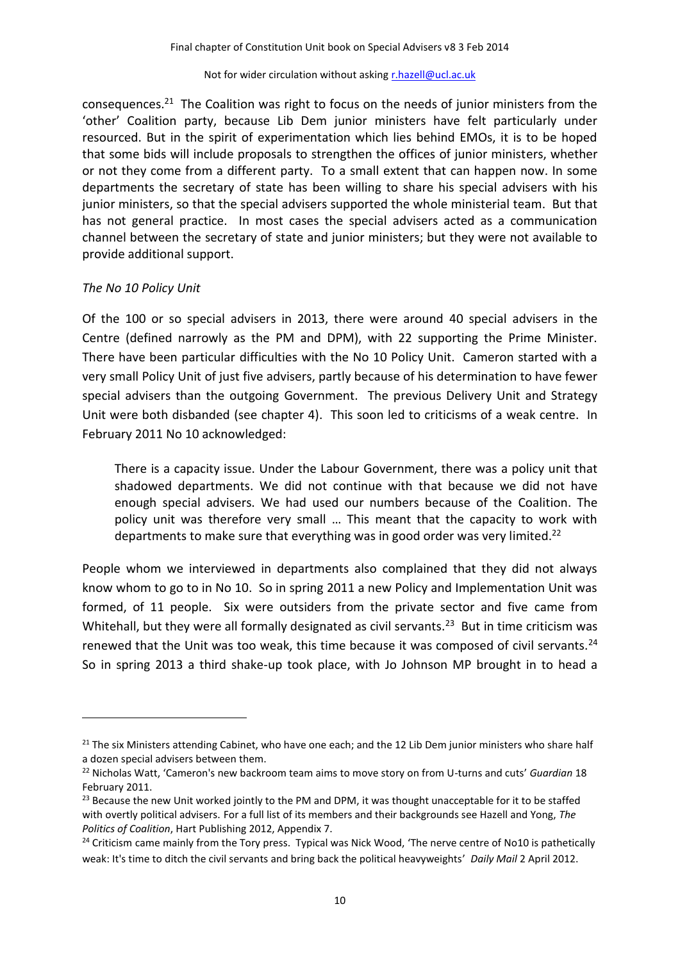consequences.<sup>21</sup> The Coalition was right to focus on the needs of junior ministers from the 'other' Coalition party, because Lib Dem junior ministers have felt particularly under resourced. But in the spirit of experimentation which lies behind EMOs, it is to be hoped that some bids will include proposals to strengthen the offices of junior ministers, whether or not they come from a different party. To a small extent that can happen now. In some departments the secretary of state has been willing to share his special advisers with his junior ministers, so that the special advisers supported the whole ministerial team. But that has not general practice. In most cases the special advisers acted as a communication channel between the secretary of state and junior ministers; but they were not available to provide additional support.

### *The No 10 Policy Unit*

Of the 100 or so special advisers in 2013, there were around 40 special advisers in the Centre (defined narrowly as the PM and DPM), with 22 supporting the Prime Minister. There have been particular difficulties with the No 10 Policy Unit. Cameron started with a very small Policy Unit of just five advisers, partly because of his determination to have fewer special advisers than the outgoing Government. The previous Delivery Unit and Strategy Unit were both disbanded (see chapter 4). This soon led to criticisms of a weak centre. In February 2011 No 10 acknowledged:

There is a capacity issue. Under the Labour Government, there was a policy unit that shadowed departments. We did not continue with that because we did not have enough special advisers. We had used our numbers because of the Coalition. The policy unit was therefore very small … This meant that the capacity to work with departments to make sure that everything was in good order was very limited.<sup>22</sup>

People whom we interviewed in departments also complained that they did not always know whom to go to in No 10. So in spring 2011 a new Policy and Implementation Unit was formed, of 11 people. Six were outsiders from the private sector and five came from Whitehall, but they were all formally designated as civil servants.<sup>23</sup> But in time criticism was renewed that the Unit was too weak, this time because it was composed of civil servants.<sup>24</sup> So in spring 2013 a third shake-up took place, with Jo Johnson MP brought in to head a

<sup>&</sup>lt;sup>21</sup> The six Ministers attending Cabinet, who have one each; and the 12 Lib Dem junior ministers who share half a dozen special advisers between them.

<sup>22</sup> Nicholas Watt, 'Cameron's new backroom team aims to move story on from U-turns and cuts' *Guardian* 18 February 2011.

<sup>&</sup>lt;sup>23</sup> Because the new Unit worked jointly to the PM and DPM, it was thought unacceptable for it to be staffed with overtly political advisers. For a full list of its members and their backgrounds see Hazell and Yong, *The Politics of Coalition*, Hart Publishing 2012, Appendix 7.

<sup>&</sup>lt;sup>24</sup> Criticism came mainly from the Tory press. Typical was Nick Wood, 'The nerve centre of No10 is pathetically weak: It's time to ditch the civil servants and bring back the political heavyweights' *Daily Mail* 2 April 2012.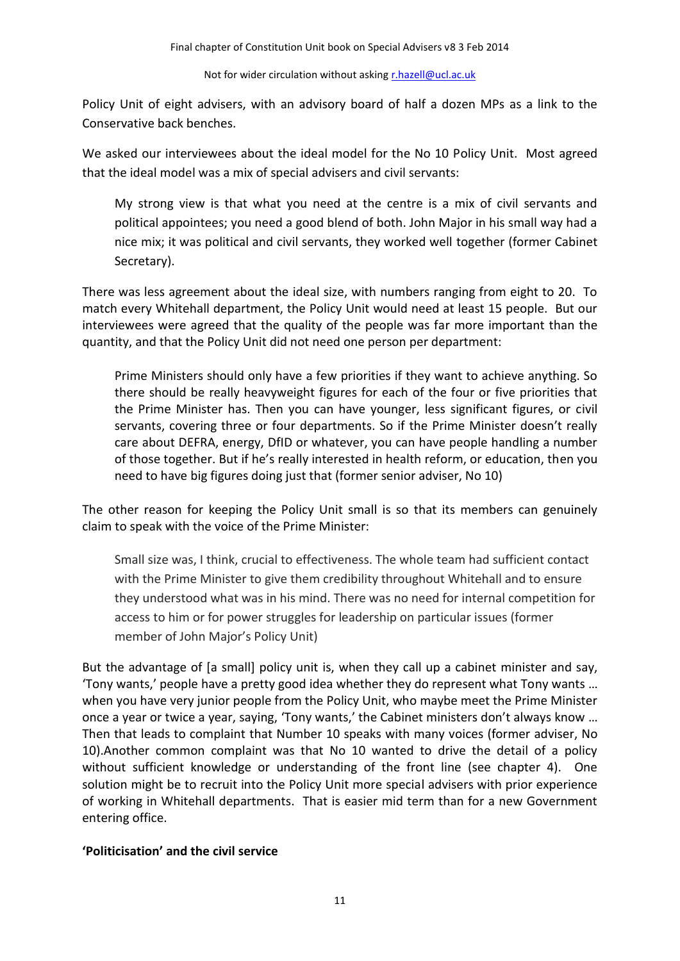Policy Unit of eight advisers, with an advisory board of half a dozen MPs as a link to the Conservative back benches.

We asked our interviewees about the ideal model for the No 10 Policy Unit. Most agreed that the ideal model was a mix of special advisers and civil servants:

My strong view is that what you need at the centre is a mix of civil servants and political appointees; you need a good blend of both. John Major in his small way had a nice mix; it was political and civil servants, they worked well together (former Cabinet Secretary).

There was less agreement about the ideal size, with numbers ranging from eight to 20. To match every Whitehall department, the Policy Unit would need at least 15 people. But our interviewees were agreed that the quality of the people was far more important than the quantity, and that the Policy Unit did not need one person per department:

Prime Ministers should only have a few priorities if they want to achieve anything. So there should be really heavyweight figures for each of the four or five priorities that the Prime Minister has. Then you can have younger, less significant figures, or civil servants, covering three or four departments. So if the Prime Minister doesn't really care about DEFRA, energy, DfID or whatever, you can have people handling a number of those together. But if he's really interested in health reform, or education, then you need to have big figures doing just that (former senior adviser, No 10)

The other reason for keeping the Policy Unit small is so that its members can genuinely claim to speak with the voice of the Prime Minister:

Small size was, I think, crucial to effectiveness. The whole team had sufficient contact with the Prime Minister to give them credibility throughout Whitehall and to ensure they understood what was in his mind. There was no need for internal competition for access to him or for power struggles for leadership on particular issues (former member of John Major's Policy Unit)

But the advantage of [a small] policy unit is, when they call up a cabinet minister and say, 'Tony wants,' people have a pretty good idea whether they do represent what Tony wants … when you have very junior people from the Policy Unit, who maybe meet the Prime Minister once a year or twice a year, saying, 'Tony wants,' the Cabinet ministers don't always know … Then that leads to complaint that Number 10 speaks with many voices (former adviser, No 10).Another common complaint was that No 10 wanted to drive the detail of a policy without sufficient knowledge or understanding of the front line (see chapter 4). One solution might be to recruit into the Policy Unit more special advisers with prior experience of working in Whitehall departments. That is easier mid term than for a new Government entering office.

## **'Politicisation' and the civil service**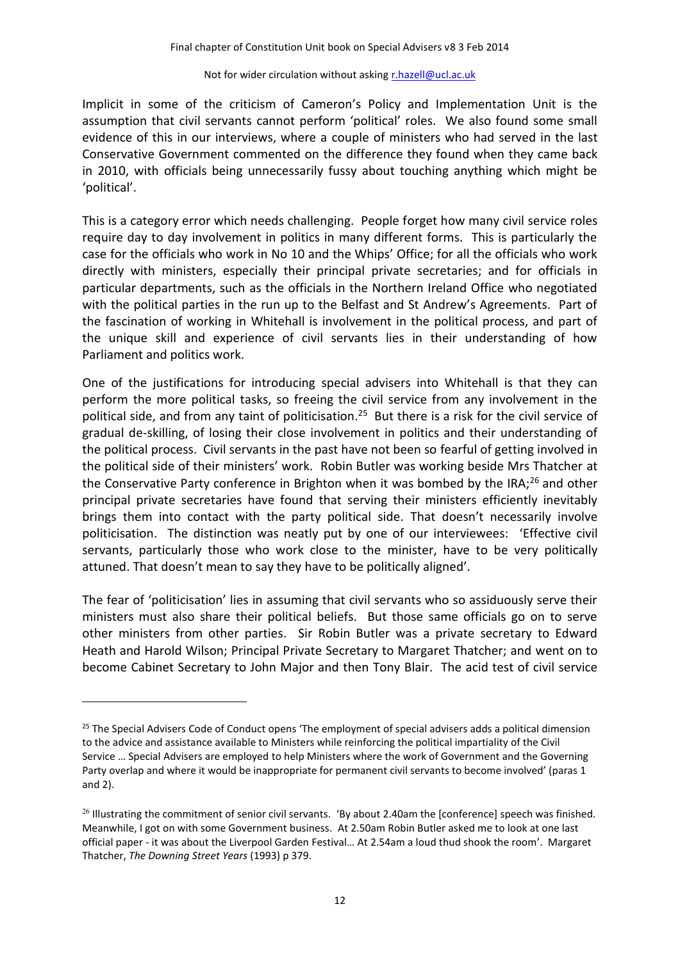Implicit in some of the criticism of Cameron's Policy and Implementation Unit is the assumption that civil servants cannot perform 'political' roles. We also found some small evidence of this in our interviews, where a couple of ministers who had served in the last Conservative Government commented on the difference they found when they came back in 2010, with officials being unnecessarily fussy about touching anything which might be 'political'.

This is a category error which needs challenging. People forget how many civil service roles require day to day involvement in politics in many different forms. This is particularly the case for the officials who work in No 10 and the Whips' Office; for all the officials who work directly with ministers, especially their principal private secretaries; and for officials in particular departments, such as the officials in the Northern Ireland Office who negotiated with the political parties in the run up to the Belfast and St Andrew's Agreements. Part of the fascination of working in Whitehall is involvement in the political process, and part of the unique skill and experience of civil servants lies in their understanding of how Parliament and politics work.

One of the justifications for introducing special advisers into Whitehall is that they can perform the more political tasks, so freeing the civil service from any involvement in the political side, and from any taint of politicisation.<sup>25</sup> But there is a risk for the civil service of gradual de-skilling, of losing their close involvement in politics and their understanding of the political process. Civil servants in the past have not been so fearful of getting involved in the political side of their ministers' work. Robin Butler was working beside Mrs Thatcher at the Conservative Party conference in Brighton when it was bombed by the IRA;<sup>26</sup> and other principal private secretaries have found that serving their ministers efficiently inevitably brings them into contact with the party political side. That doesn't necessarily involve politicisation. The distinction was neatly put by one of our interviewees: 'Effective civil servants, particularly those who work close to the minister, have to be very politically attuned. That doesn't mean to say they have to be politically aligned'.

The fear of 'politicisation' lies in assuming that civil servants who so assiduously serve their ministers must also share their political beliefs. But those same officials go on to serve other ministers from other parties. Sir Robin Butler was a private secretary to Edward Heath and Harold Wilson; Principal Private Secretary to Margaret Thatcher; and went on to become Cabinet Secretary to John Major and then Tony Blair. The acid test of civil service

<sup>&</sup>lt;sup>25</sup> The Special Advisers Code of Conduct opens 'The employment of special advisers adds a political dimension to the advice and assistance available to Ministers while reinforcing the political impartiality of the Civil Service … Special Advisers are employed to help Ministers where the work of Government and the Governing Party overlap and where it would be inappropriate for permanent civil servants to become involved' (paras 1 and 2).

<sup>&</sup>lt;sup>26</sup> Illustrating the commitment of senior civil servants. 'By about 2.40am the [conference] speech was finished. Meanwhile, I got on with some Government business. At 2.50am Robin Butler asked me to look at one last official paper - it was about the Liverpool Garden Festival… At 2.54am a loud thud shook the room'. Margaret Thatcher, *The Downing Street Years* (1993) p 379.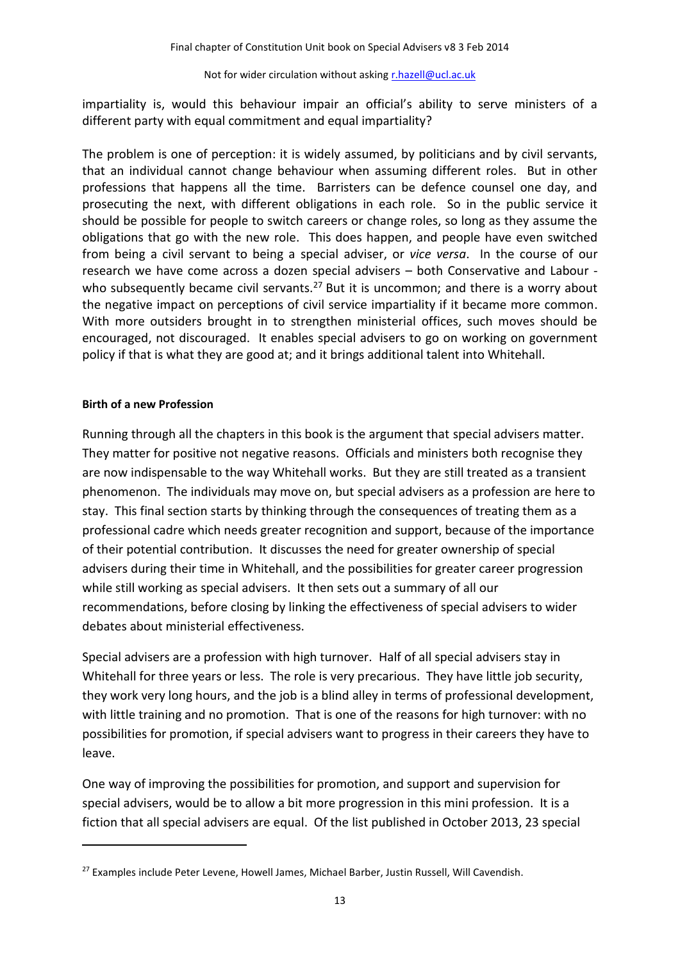impartiality is, would this behaviour impair an official's ability to serve ministers of a different party with equal commitment and equal impartiality?

The problem is one of perception: it is widely assumed, by politicians and by civil servants, that an individual cannot change behaviour when assuming different roles. But in other professions that happens all the time. Barristers can be defence counsel one day, and prosecuting the next, with different obligations in each role. So in the public service it should be possible for people to switch careers or change roles, so long as they assume the obligations that go with the new role. This does happen, and people have even switched from being a civil servant to being a special adviser, or *vice versa*. In the course of our research we have come across a dozen special advisers – both Conservative and Labour who subsequently became civil servants.<sup>27</sup> But it is uncommon; and there is a worry about the negative impact on perceptions of civil service impartiality if it became more common. With more outsiders brought in to strengthen ministerial offices, such moves should be encouraged, not discouraged. It enables special advisers to go on working on government policy if that is what they are good at; and it brings additional talent into Whitehall.

### **Birth of a new Profession**

Running through all the chapters in this book is the argument that special advisers matter. They matter for positive not negative reasons. Officials and ministers both recognise they are now indispensable to the way Whitehall works. But they are still treated as a transient phenomenon. The individuals may move on, but special advisers as a profession are here to stay. This final section starts by thinking through the consequences of treating them as a professional cadre which needs greater recognition and support, because of the importance of their potential contribution. It discusses the need for greater ownership of special advisers during their time in Whitehall, and the possibilities for greater career progression while still working as special advisers. It then sets out a summary of all our recommendations, before closing by linking the effectiveness of special advisers to wider debates about ministerial effectiveness.

Special advisers are a profession with high turnover. Half of all special advisers stay in Whitehall for three years or less. The role is very precarious. They have little job security, they work very long hours, and the job is a blind alley in terms of professional development, with little training and no promotion. That is one of the reasons for high turnover: with no possibilities for promotion, if special advisers want to progress in their careers they have to leave.

One way of improving the possibilities for promotion, and support and supervision for special advisers, would be to allow a bit more progression in this mini profession. It is a fiction that all special advisers are equal. Of the list published in October 2013, 23 special

<sup>&</sup>lt;sup>27</sup> Examples include Peter Levene, Howell James, Michael Barber, Justin Russell, Will Cavendish.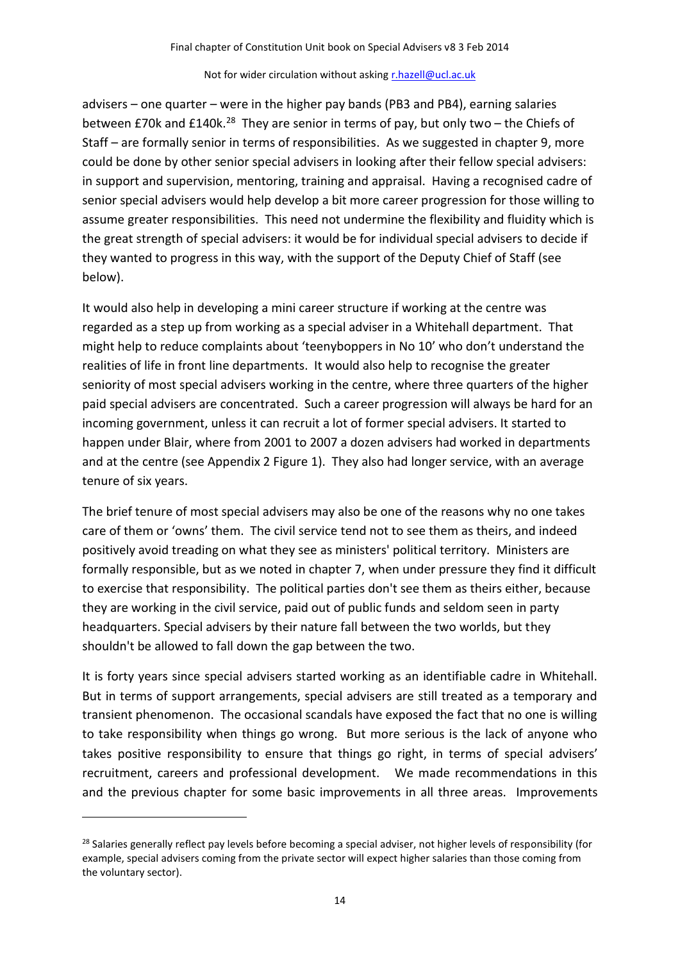advisers – one quarter – were in the higher pay bands (PB3 and PB4), earning salaries between £70k and £140k.<sup>28</sup> They are senior in terms of pay, but only two - the Chiefs of Staff – are formally senior in terms of responsibilities. As we suggested in chapter 9, more could be done by other senior special advisers in looking after their fellow special advisers: in support and supervision, mentoring, training and appraisal. Having a recognised cadre of senior special advisers would help develop a bit more career progression for those willing to assume greater responsibilities. This need not undermine the flexibility and fluidity which is the great strength of special advisers: it would be for individual special advisers to decide if they wanted to progress in this way, with the support of the Deputy Chief of Staff (see below).

It would also help in developing a mini career structure if working at the centre was regarded as a step up from working as a special adviser in a Whitehall department. That might help to reduce complaints about 'teenyboppers in No 10' who don't understand the realities of life in front line departments. It would also help to recognise the greater seniority of most special advisers working in the centre, where three quarters of the higher paid special advisers are concentrated. Such a career progression will always be hard for an incoming government, unless it can recruit a lot of former special advisers. It started to happen under Blair, where from 2001 to 2007 a dozen advisers had worked in departments and at the centre (see Appendix 2 Figure 1). They also had longer service, with an average tenure of six years.

The brief tenure of most special advisers may also be one of the reasons why no one takes care of them or 'owns' them. The civil service tend not to see them as theirs, and indeed positively avoid treading on what they see as ministers' political territory. Ministers are formally responsible, but as we noted in chapter 7, when under pressure they find it difficult to exercise that responsibility. The political parties don't see them as theirs either, because they are working in the civil service, paid out of public funds and seldom seen in party headquarters. Special advisers by their nature fall between the two worlds, but they shouldn't be allowed to fall down the gap between the two.

It is forty years since special advisers started working as an identifiable cadre in Whitehall. But in terms of support arrangements, special advisers are still treated as a temporary and transient phenomenon. The occasional scandals have exposed the fact that no one is willing to take responsibility when things go wrong. But more serious is the lack of anyone who takes positive responsibility to ensure that things go right, in terms of special advisers' recruitment, careers and professional development. We made recommendations in this and the previous chapter for some basic improvements in all three areas. Improvements

<sup>&</sup>lt;sup>28</sup> Salaries generally reflect pay levels before becoming a special adviser, not higher levels of responsibility (for example, special advisers coming from the private sector will expect higher salaries than those coming from the voluntary sector).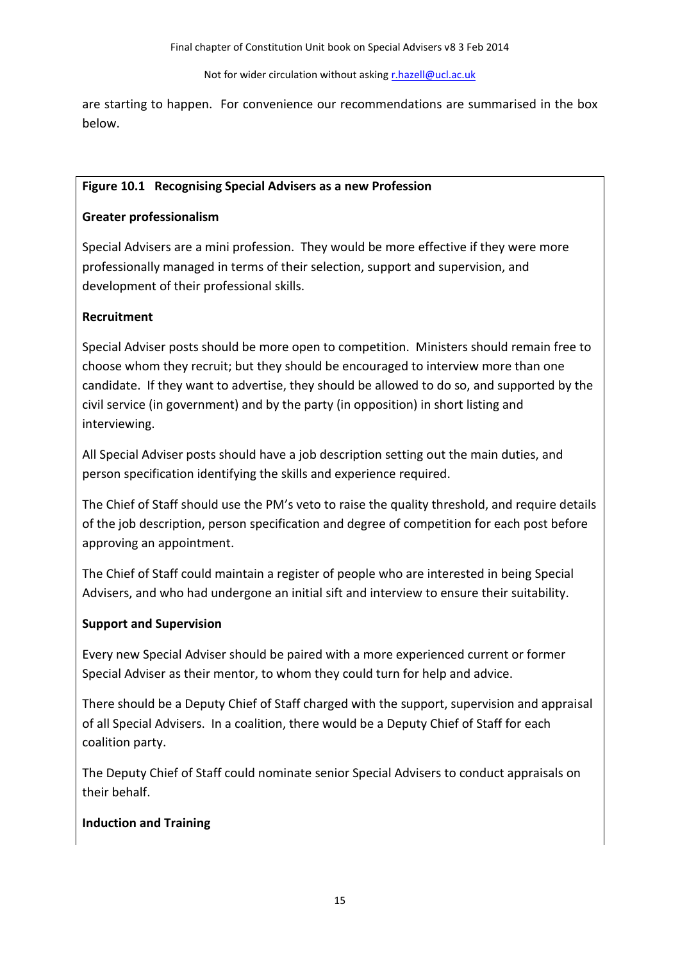are starting to happen. For convenience our recommendations are summarised in the box below.

## **Figure 10.1 Recognising Special Advisers as a new Profession**

## **Greater professionalism**

Special Advisers are a mini profession. They would be more effective if they were more professionally managed in terms of their selection, support and supervision, and development of their professional skills.

## **Recruitment**

Special Adviser posts should be more open to competition. Ministers should remain free to choose whom they recruit; but they should be encouraged to interview more than one candidate. If they want to advertise, they should be allowed to do so, and supported by the civil service (in government) and by the party (in opposition) in short listing and interviewing.

All Special Adviser posts should have a job description setting out the main duties, and person specification identifying the skills and experience required.

The Chief of Staff should use the PM's veto to raise the quality threshold, and require details of the job description, person specification and degree of competition for each post before approving an appointment.

The Chief of Staff could maintain a register of people who are interested in being Special Advisers, and who had undergone an initial sift and interview to ensure their suitability.

### **Support and Supervision**

Every new Special Adviser should be paired with a more experienced current or former Special Adviser as their mentor, to whom they could turn for help and advice.

There should be a Deputy Chief of Staff charged with the support, supervision and appraisal of all Special Advisers. In a coalition, there would be a Deputy Chief of Staff for each coalition party.

The Deputy Chief of Staff could nominate senior Special Advisers to conduct appraisals on their behalf.

### **Induction and Training**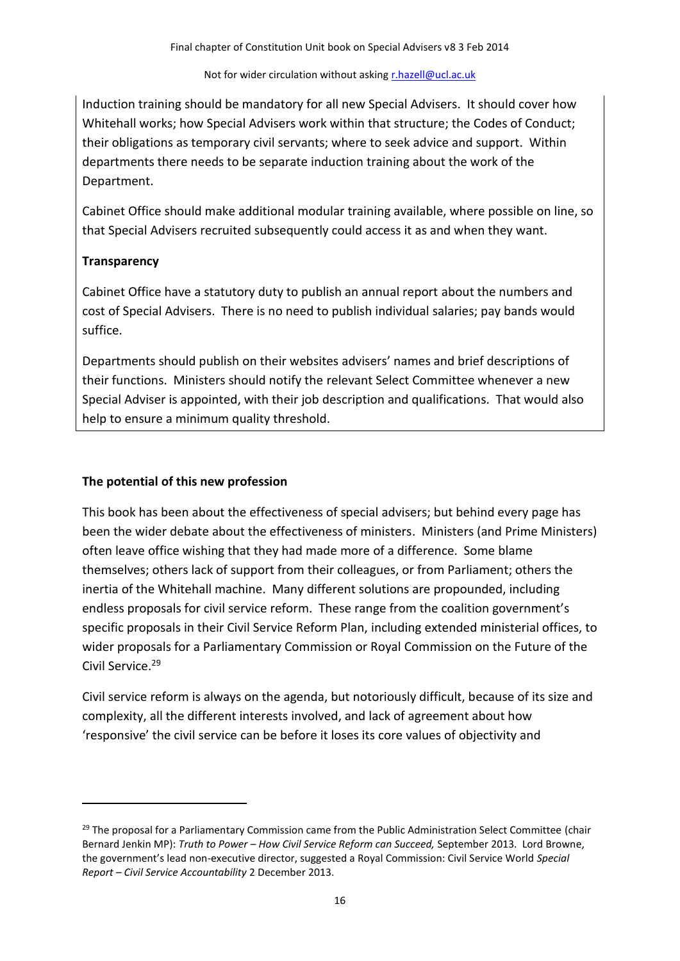Induction training should be mandatory for all new Special Advisers. It should cover how Whitehall works; how Special Advisers work within that structure; the Codes of Conduct; their obligations as temporary civil servants; where to seek advice and support. Within departments there needs to be separate induction training about the work of the Department.

Cabinet Office should make additional modular training available, where possible on line, so that Special Advisers recruited subsequently could access it as and when they want.

# **Transparency**

Cabinet Office have a statutory duty to publish an annual report about the numbers and cost of Special Advisers. There is no need to publish individual salaries; pay bands would suffice.

Departments should publish on their websites advisers' names and brief descriptions of their functions. Ministers should notify the relevant Select Committee whenever a new Special Adviser is appointed, with their job description and qualifications. That would also help to ensure a minimum quality threshold.

# **The potential of this new profession**

This book has been about the effectiveness of special advisers; but behind every page has been the wider debate about the effectiveness of ministers. Ministers (and Prime Ministers) often leave office wishing that they had made more of a difference. Some blame themselves; others lack of support from their colleagues, or from Parliament; others the inertia of the Whitehall machine. Many different solutions are propounded, including endless proposals for civil service reform. These range from the coalition government's specific proposals in their Civil Service Reform Plan, including extended ministerial offices, to wider proposals for a Parliamentary Commission or Royal Commission on the Future of the Civil Service.<sup>29</sup>

Civil service reform is always on the agenda, but notoriously difficult, because of its size and complexity, all the different interests involved, and lack of agreement about how 'responsive' the civil service can be before it loses its core values of objectivity and

<sup>&</sup>lt;sup>29</sup> The proposal for a Parliamentary Commission came from the Public Administration Select Committee (chair Bernard Jenkin MP): *Truth to Power – How Civil Service Reform can Succeed,* September 2013. Lord Browne, the government's lead non-executive director, suggested a Royal Commission: Civil Service World *Special Report – Civil Service Accountability* 2 December 2013.